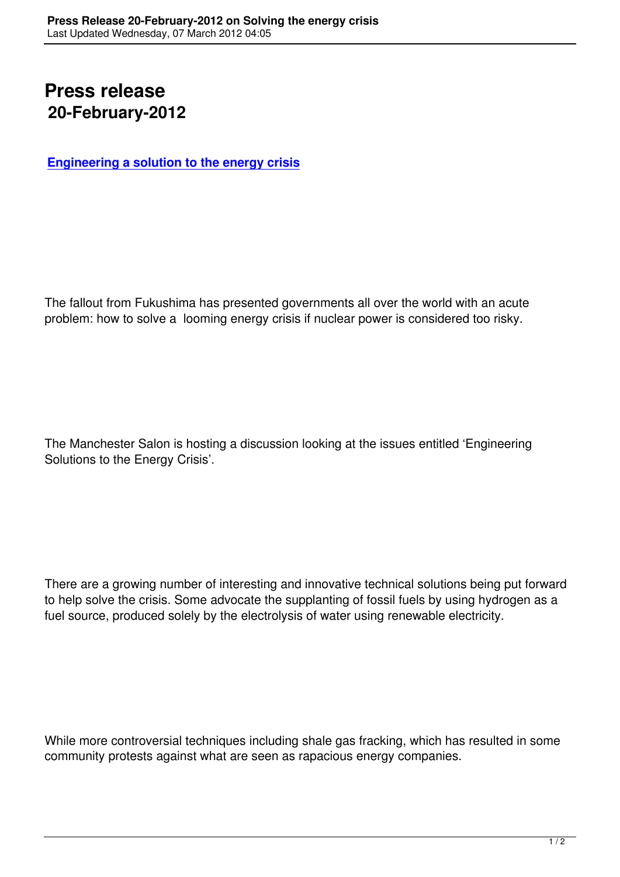## **Press release 20-February-2012**

**Engineering a solution to the energy crisis**

The fallout from Fukushima has presented governments all over the world with an acute problem: how to solve a looming energy crisis if nuclear power is considered too risky.

The Manchester Salon is hosting a discussion looking at the issues entitled 'Engineering Solutions to the Energy Crisis'.

There are a growing number of interesting and innovative technical solutions being put forward to help solve the crisis. Some advocate the supplanting of fossil fuels by using hydrogen as a fuel source, produced solely by the electrolysis of water using renewable electricity.

While more controversial techniques including shale gas fracking, which has resulted in some community protests against what are seen as rapacious energy companies.